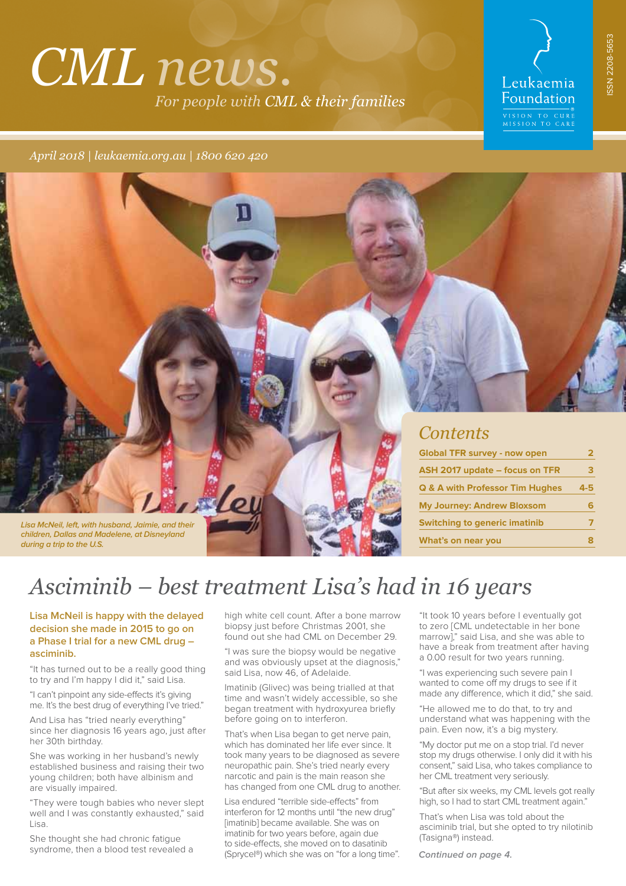# *CML news. For people with CML & their families*

# Leukaemia Foundation

EXTREMISTION TO CURE<br>MISSION TO CARE

*April 2018 | leukaemia.org.au | 1800 620 420*

**Lisa McNeil, left, with husband, Jaimie, and their children, Dallas and Madelene, at Disneyland during a trip to the U.S.** 

## *Contents*

| <b>Global TFR survey - now open</b>        | 2   |  |
|--------------------------------------------|-----|--|
| ASH 2017 update - focus on TFR             | з   |  |
| <b>Q &amp; A with Professor Tim Hughes</b> | 4-5 |  |
| <b>My Journey: Andrew Bloxsom</b>          | 6   |  |
| <b>Switching to generic imatinib</b>       | 7   |  |
| What's on near you                         | 8   |  |

# *Asciminib – best treatment Lisa's had in 16 years*

### **Lisa McNeil is happy with the delayed decision she made in 2015 to go on a Phase I trial for a new CML drug – asciminib.**

"It has turned out to be a really good thing to try and I'm happy I did it," said Lisa.

"I can't pinpoint any side-efects it's giving me. It's the best drug of everything I've tried."

And Lisa has "tried nearly everything" since her diagnosis 16 years ago, just after her 30th birthday.

She was working in her husband's newly established business and raising their two young children; both have albinism and are visually impaired.

"They were tough babies who never slept well and I was constantly exhausted," said Lisa.

She thought she had chronic fatigue syndrome, then a blood test revealed a high white cell count. After a bone marrow biopsy just before Christmas 2001, she found out she had CML on December 29.

"I was sure the biopsy would be negative and was obviously upset at the diagnosis," said Lisa, now 46, of Adelaide.

Imatinib (Glivec) was being trialled at that time and wasn't widely accessible, so she began treatment with hydroxyurea briefly before going on to interferon.

That's when Lisa began to get nerve pain, which has dominated her life ever since. It took many years to be diagnosed as severe neuropathic pain. She's tried nearly every narcotic and pain is the main reason she has changed from one CML drug to another.

Lisa endured "terrible side-efects" from interferon for 12 months until "the new drug" [imatinib] became available. She was on imatinib for two years before, again due to side-efects, she moved on to dasatinib (Sprycel®) which she was on "for a long time". "It took 10 years before I eventually got to zero [CML undetectable in her bone marrow]," said Lisa, and she was able to have a break from treatment after having a 0.00 result for two years running.

"I was experiencing such severe pain I wanted to come off my drugs to see if it made any diference, which it did," she said.

"He allowed me to do that, to try and understand what was happening with the pain. Even now, it's a big mystery.

"My doctor put me on a stop trial. I'd never stop my drugs otherwise. I only did it with his consent," said Lisa, who takes compliance to her CML treatment very seriously.

"But after six weeks, my CML levels got really high, so I had to start CML treatment again."

That's when Lisa was told about the asciminib trial, but she opted to try nilotinib (Tasigna®) instead.

**Continued on page 4.**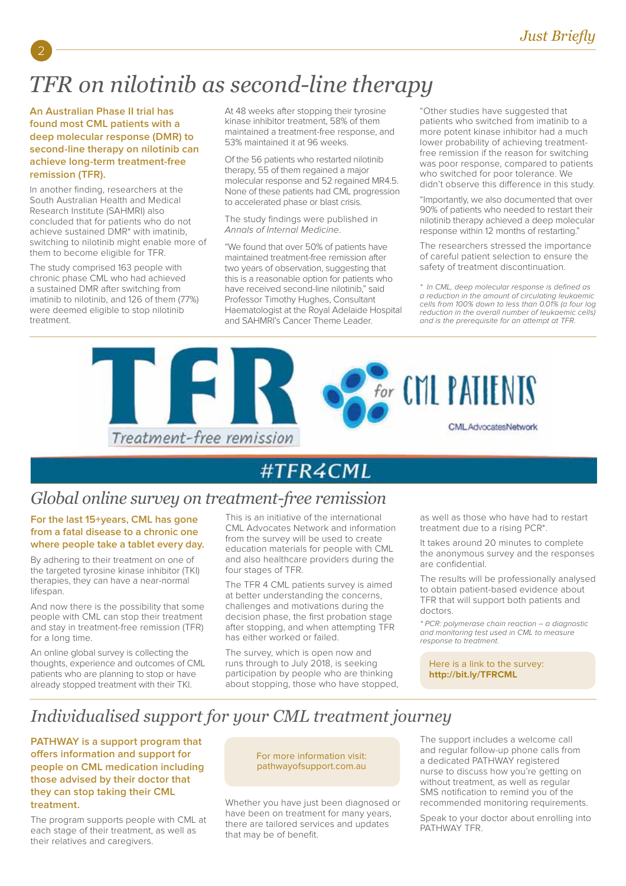# *TFR on nilotinib as second-line therapy*

## **An Australian Phase II trial has found most CML patients with a deep molecular response (DMR) to second-line therapy on nilotinib can achieve long-term treatment-free remission (TFR).**

2

In another finding, researchers at the South Australian Health and Medical Research Institute (SAHMRI) also concluded that for patients who do not achieve sustained DMR\* with imatinib, switching to nilotinib might enable more of them to become eligible for TFR.

The study comprised 163 people with chronic phase CML who had achieved a sustained DMR after switching from imatinib to nilotinib, and 126 of them (77%) were deemed eligible to stop nilotinib treatment.

At 48 weeks after stopping their tyrosine kinase inhibitor treatment, 58% of them maintained a treatment-free response, and 53% maintained it at 96 weeks.

Of the 56 patients who restarted nilotinib therapy, 55 of them regained a major molecular response and 52 regained MR4.5. None of these patients had CML progression to accelerated phase or blast crisis.

The study findings were published in Annals of Internal Medicine.

"We found that over 50% of patients have maintained treatment-free remission after two years of observation, suggesting that this is a reasonable option for patients who have received second-line nilotinib," said Professor Timothy Hughes, Consultant Haematologist at the Royal Adelaide Hospital and SAHMRI's Cancer Theme Leader.

"Other studies have suggested that patients who switched from imatinib to a more potent kinase inhibitor had a much lower probability of achieving treatmentfree remission if the reason for switching was poor response, compared to patients who switched for poor tolerance. We didn't observe this diference in this study.

"Importantly, we also documented that over 90% of patients who needed to restart their nilotinib therapy achieved a deep molecular response within 12 months of restarting."

The researchers stressed the importance of careful patient selection to ensure the safety of treatment discontinuation.

\* In CML, deep molecular response is defined as a reduction in the amount of circulating leukaemic cells from 100% down to less than 0.01% (a four log reduction in the overall number of leukaemic cells) and is the prerequisite for an attempt at TFR.



# #TFR4CML

# *Global online survey on treatment-free remission*

## **For the last 15+years, CML has gone from a fatal disease to a chronic one where people take a tablet every day.**

By adhering to their treatment on one of the targeted tyrosine kinase inhibitor (TKI) therapies, they can have a near-normal lifespan.

And now there is the possibility that some people with CML can stop their treatment and stay in treatment-free remission (TFR) for a long time.

An online global survey is collecting the thoughts, experience and outcomes of CML patients who are planning to stop or have already stopped treatment with their TKI.

This is an initiative of the international CML Advocates Network and information from the survey will be used to create education materials for people with CML and also healthcare providers during the four stages of TFR.

The TFR 4 CML patients survey is aimed at better understanding the concerns, challenges and motivations during the decision phase, the first probation stage after stopping, and when attempting TFR has either worked or failed.

The survey, which is open now and runs through to July 2018, is seeking participation by people who are thinking about stopping, those who have stopped, as well as those who have had to restart treatment due to a rising PCR\*.

It takes around 20 minutes to complete the anonymous survey and the responses are confidential.

The results will be professionally analysed to obtain patient-based evidence about TFR that will support both patients and doctors.

\* PCR: polymerase chain reaction – a diagnostic and monitoring test used in CML to measure response to treatment.

Here is a link to the survey: **http://bit.ly/TFRCML**

# *Individualised support for your CML treatment journey*

**PATHWAY is a support program that ofers information and support for people on CML medication including those advised by their doctor that they can stop taking their CML treatment.**

The program supports people with CML at each stage of their treatment, as well as their relatives and caregivers.

#### For more information visit: pathwayofsupport.com.au

Whether you have just been diagnosed or have been on treatment for many years, there are tailored services and updates that may be of benefit.

The support includes a welcome call and regular follow-up phone calls from a dedicated PATHWAY registered nurse to discuss how you're getting on without treatment, as well as regular SMS notification to remind you of the recommended monitoring requirements.

Speak to your doctor about enrolling into PATHWAY TFR.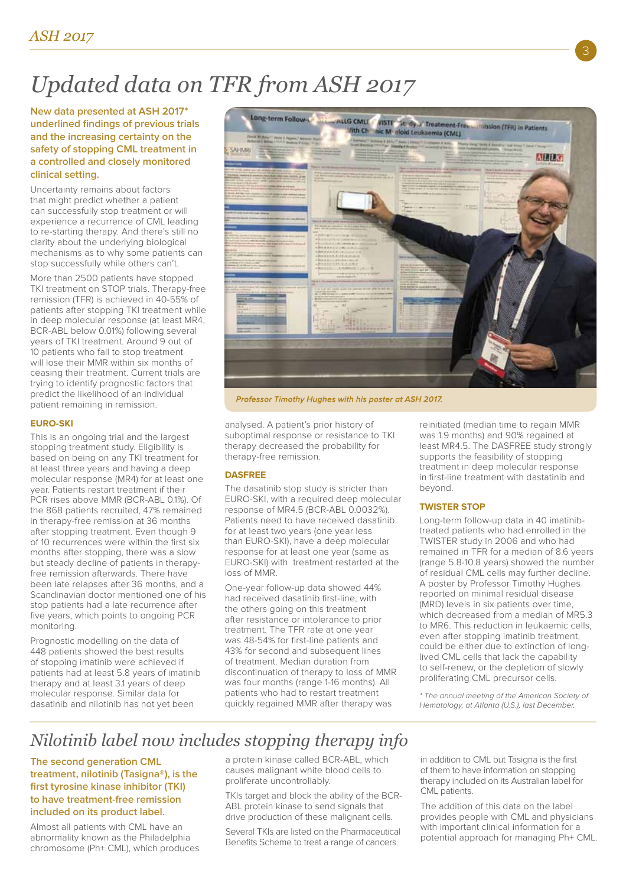# *Updated data on TFR from ASH 2017*

**New data presented at ASH 2017\* underlined findings of previous trials and the increasing certainty on the safety of stopping CML treatment in a controlled and closely monitored clinical setting.**

Uncertainty remains about factors that might predict whether a patient can successfully stop treatment or will experience a recurrence of CML leading to re-starting therapy. And there's still no clarity about the underlying biological mechanisms as to why some patients can stop successfully while others can't.

More than 2500 patients have stopped TKI treatment on STOP trials. Therapy-free remission (TFR) is achieved in 40-55% of patients after stopping TKI treatment while in deep molecular response (at least MR4, BCR-ABL below 0.01%) following several years of TKI treatment. Around 9 out of 10 patients who fail to stop treatment will lose their MMR within six months of ceasing their treatment. Current trials are trying to identify prognostic factors that predict the likelihood of an individual patient remaining in remission.

### **EURO-SKI**

This is an ongoing trial and the largest stopping treatment study. Eligibility is based on being on any TKI treatment for at least three years and having a deep molecular response (MR4) for at least one year. Patients restart treatment if their PCR rises above MMR (BCR-ABL 0.1%). Of the 868 patients recruited, 47% remained in therapy-free remission at 36 months after stopping treatment. Even though 9 of 10 recurrences were within the first six months after stopping, there was a slow but steady decline of patients in therapyfree remission afterwards. There have been late relapses after 36 months, and a Scandinavian doctor mentioned one of his stop patients had a late recurrence after five years, which points to ongoing PCR monitoring.

Prognostic modelling on the data of 448 patients showed the best results of stopping imatinib were achieved if patients had at least 5.8 years of imatinib therapy and at least 3.1 years of deep molecular response. Similar data for dasatinib and nilotinib has not yet been



Professor Timothy Hughes with his poster at ASH 2017.

analysed. A patient's prior history of suboptimal response or resistance to TKI therapy decreased the probability for therapy-free remission.

#### **DASFREE**

The dasatinib stop study is stricter than EURO-SKI, with a required deep molecular response of MR4.5 (BCR-ABL 0.0032%). Patients need to have received dasatinib for at least two years (one year less than EURO-SKI), have a deep molecular response for at least one year (same as EURO-SKI) with treatment restarted at the loss of MMR.

One-year follow-up data showed 44% had received dasatinib first-line, with the others going on this treatment after resistance or intolerance to prior treatment. The TFR rate at one year was 48-54% for first-line patients and 43% for second and subsequent lines of treatment. Median duration from discontinuation of therapy to loss of MMR was four months (range 1-16 months). All patients who had to restart treatment quickly regained MMR after therapy was

reinitiated (median time to regain MMR was 1.9 months) and 90% regained at least MR4.5. The DASFREE study strongly supports the feasibility of stopping treatment in deep molecular response in first-line treatment with dastatinib and beyond.

3

#### **TWISTER STOP**

Long-term follow-up data in 40 imatinibtreated patients who had enrolled in the TWISTER study in 2006 and who had remained in TFR for a median of 8.6 years (range 5.8-10.8 years) showed the number of residual CML cells may further decline. A poster by Professor Timothy Hughes reported on minimal residual disease (MRD) levels in six patients over time, which decreased from a median of MR5.3 to MR6. This reduction in leukaemic cells, even after stopping imatinib treatment, could be either due to extinction of longlived CML cells that lack the capability to self-renew, or the depletion of slowly proliferating CML precursor cells.

\* The annual meeting of the American Society of Hematology, at Atlanta (U.S.), last December.

# *Nilotinib label now includes stopping therapy info*

**The second generation CML treatment, nilotinib (Tasigna®), is the first tyrosine kinase inhibitor (TKI) to have treatment-free remission included on its product label.** 

Almost all patients with CML have an abnormality known as the Philadelphia chromosome (Ph+ CML), which produces a protein kinase called BCR-ABL, which causes malignant white blood cells to proliferate uncontrollably.

TKIs target and block the ability of the BCR-ABL protein kinase to send signals that drive production of these malignant cells.

Several TKIs are listed on the Pharmaceutical Benefits Scheme to treat a range of cancers

in addition to CML but Tasigna is the first of them to have information on stopping therapy included on its Australian label for CML patients.

The addition of this data on the label provides people with CML and physicians with important clinical information for a potential approach for managing Ph+ CML.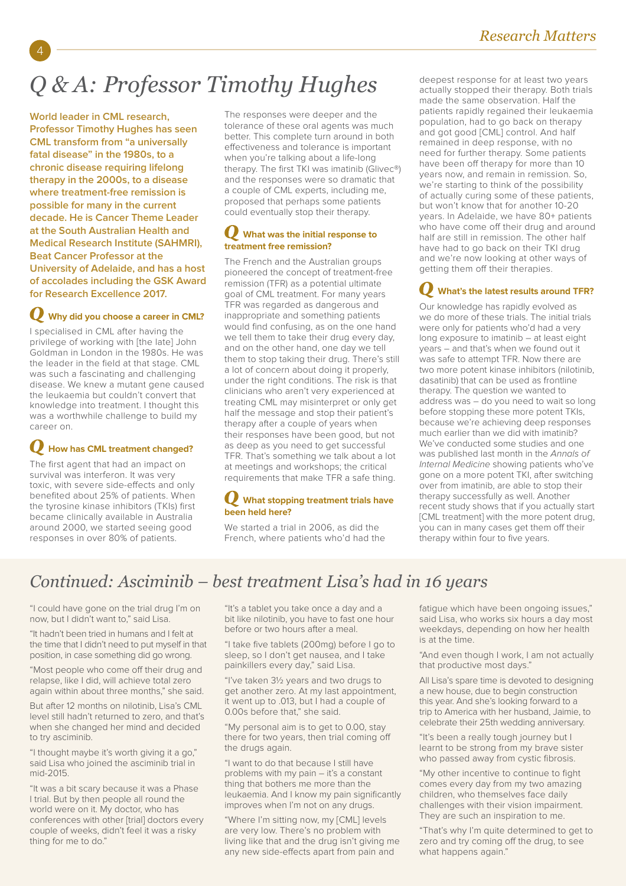# *Q & A: Professor Timothy Hughes*

**World leader in CML research, Professor Timothy Hughes has seen CML transform from "a universally fatal disease" in the 1980s, to a chronic disease requiring lifelong therapy in the 2000s, to a disease where treatment-free remission is possible for many in the current decade. He is Cancer Theme Leader at the South Australian Health and Medical Research Institute (SAHMRI), Beat Cancer Professor at the University of Adelaide, and has a host of accolades including the GSK Award for Research Excellence 2017.**

### **Why did you choose a career in CML?**

I specialised in CML after having the privilege of working with [the late] John Goldman in London in the 1980s. He was the leader in the field at that stage. CML was such a fascinating and challenging disease. We knew a mutant gene caused the leukaemia but couldn't convert that knowledge into treatment. I thought this was a worthwhile challenge to build my career on.

## **How has CML treatment changed?**

The first agent that had an impact on survival was interferon. It was very toxic, with severe side-efects and only benefited about 25% of patients. When the tyrosine kinase inhibitors (TKIs) first became clinically available in Australia around 2000, we started seeing good responses in over 80% of patients.

The responses were deeper and the tolerance of these oral agents was much better. This complete turn around in both efectiveness and tolerance is important when you're talking about a life-long therapy. The first TKI was imatinib (Glivec®) and the responses were so dramatic that a couple of CML experts, including me, proposed that perhaps some patients could eventually stop their therapy.

## **What was the initial response to treatment free remission?**

The French and the Australian groups pioneered the concept of treatment-free remission (TFR) as a potential ultimate goal of CML treatment. For many years TFR was regarded as dangerous and inappropriate and something patients would find confusing, as on the one hand we tell them to take their drug every day, and on the other hand, one day we tell them to stop taking their drug. There's still a lot of concern about doing it properly, under the right conditions. The risk is that clinicians who aren't very experienced at treating CML may misinterpret or only get half the message and stop their patient's therapy after a couple of years when their responses have been good, but not as deep as you need to get successful TFR. That's something we talk about a lot at meetings and workshops; the critical requirements that make TFR a safe thing.

### **What stopping treatment trials have been held here?**

We started a trial in 2006, as did the French, where patients who'd had the

deepest response for at least two years actually stopped their therapy. Both trials made the same observation. Half the patients rapidly regained their leukaemia population, had to go back on therapy and got good [CML] control. And half remained in deep response, with no need for further therapy. Some patients have been off therapy for more than 10 years now, and remain in remission. So, we're starting to think of the possibility of actually curing some of these patients, but won't know that for another 10-20 years. In Adelaide, we have 80+ patients who have come off their drug and around half are still in remission. The other half have had to go back on their TKI drug and we're now looking at other ways of getting them off their therapies.

## **What's the latest results around TFR?**

Our knowledge has rapidly evolved as we do more of these trials. The initial trials were only for patients who'd had a very long exposure to imatinib – at least eight years – and that's when we found out it was safe to attempt TFR. Now there are two more potent kinase inhibitors (nilotinib, dasatinib) that can be used as frontline therapy. The question we wanted to address was – do you need to wait so long before stopping these more potent TKIs, because we're achieving deep responses much earlier than we did with imatinib? We've conducted some studies and one was published last month in the Annals of Internal Medicine showing patients who've gone on a more potent TKI, after switching over from imatinib, are able to stop their therapy successfully as well. Another recent study shows that if you actually start [CML treatment] with the more potent drug, you can in many cases get them off their therapy within four to five years.

# *Continued: Asciminib – best treatment Lisa's had in 16 years*

"I could have gone on the trial drug I'm on now, but I didn't want to," said Lisa.

"It hadn't been tried in humans and I felt at the time that I didn't need to put myself in that position, in case something did go wrong.

"Most people who come off their drug and relapse, like I did, will achieve total zero again within about three months," she said.

But after 12 months on nilotinib, Lisa's CML level still hadn't returned to zero, and that's when she changed her mind and decided to try asciminib.

"I thought maybe it's worth giving it a go," said Lisa who joined the asciminib trial in mid-2015.

"It was a bit scary because it was a Phase I trial. But by then people all round the world were on it. My doctor, who has conferences with other [trial] doctors every couple of weeks, didn't feel it was a risky thing for me to do."

"It's a tablet you take once a day and a bit like nilotinib, you have to fast one hour before or two hours after a meal.

"I take five tablets (200mg) before I go to sleep, so I don't get nausea, and I take painkillers every day," said Lisa.

"I've taken 3½ years and two drugs to get another zero. At my last appointment, it went up to .013, but I had a couple of 0.00s before that," she said.

"My personal aim is to get to 0.00, stay there for two years, then trial coming of the drugs again.

"I want to do that because I still have problems with my pain – it's a constant thing that bothers me more than the leukaemia. And I know my pain significantly improves when I'm not on any drugs.

"Where I'm sitting now, my [CML] levels are very low. There's no problem with living like that and the drug isn't giving me any new side-efects apart from pain and

fatique which have been ongoing issues," said Lisa, who works six hours a day most weekdays, depending on how her health is at the time.

"And even though I work, I am not actually that productive most days."

All Lisa's spare time is devoted to designing a new house, due to begin construction this year. And she's looking forward to a trip to America with her husband, Jaimie, to celebrate their 25th wedding anniversary.

"It's been a really tough journey but I learnt to be strong from my brave sister who passed away from cystic fibrosis.

"My other incentive to continue to fight comes every day from my two amazing children, who themselves face daily challenges with their vision impairment. They are such an inspiration to me.

"That's why I'm quite determined to get to zero and try coming off the drug, to see what happens again."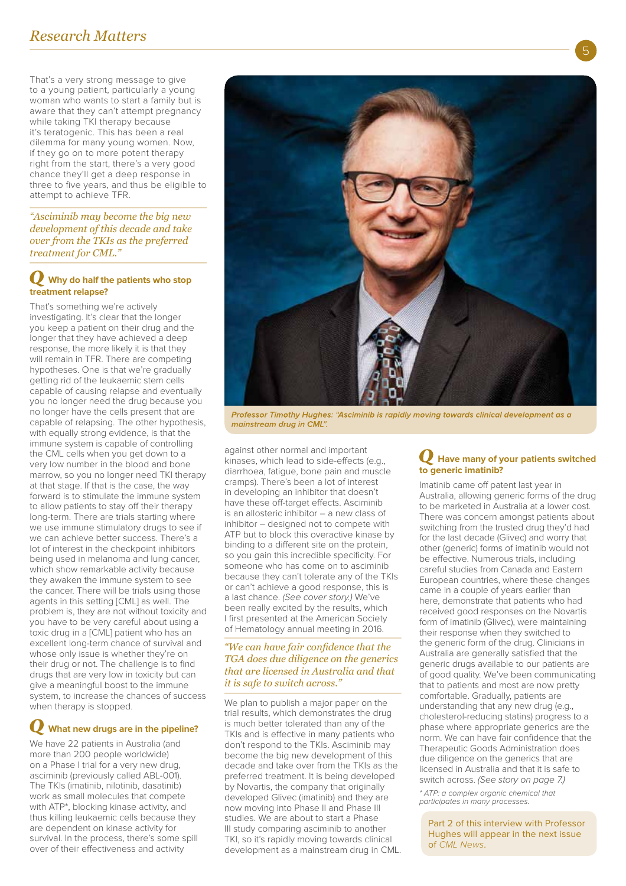That's a very strong message to give to a young patient, particularly a young woman who wants to start a family but is aware that they can't attempt pregnancy while taking TKI therapy because it's teratogenic. This has been a real dilemma for many young women. Now, if they go on to more potent therapy right from the start, there's a very good chance they'll get a deep response in three to five years, and thus be eligible to attempt to achieve TFR.

*"Asciminib may become the big new development of this decade and take over from the TKIs as the preferred treatment for CML."*

### **Why do half the patients who stop treatment relapse?**

That's something we're actively investigating. It's clear that the longer you keep a patient on their drug and the longer that they have achieved a deep response, the more likely it is that they will remain in TFR. There are competing hypotheses. One is that we're gradually getting rid of the leukaemic stem cells capable of causing relapse and eventually you no longer need the drug because you no longer have the cells present that are capable of relapsing. The other hypothesis, with equally strong evidence, is that the immune system is capable of controlling the CML cells when you get down to a very low number in the blood and bone marrow, so you no longer need TKI therapy at that stage. If that is the case, the way forward is to stimulate the immune system to allow patients to stay off their therapy long-term. There are trials starting where we use immune stimulatory drugs to see if we can achieve better success. There's a lot of interest in the checkpoint inhibitors being used in melanoma and lung cancer, which show remarkable activity because they awaken the immune system to see the cancer. There will be trials using those agents in this setting [CML] as well. The problem is, they are not without toxicity and you have to be very careful about using a toxic drug in a [CML] patient who has an excellent long-term chance of survival and whose only issue is whether they're on their drug or not. The challenge is to find drugs that are very low in toxicity but can give a meaningful boost to the immune system, to increase the chances of success when therapy is stopped.

# **What new drugs are in the pipeline?**

We have 22 patients in Australia (and more than 200 people worldwide) on a Phase I trial for a very new drug, asciminib (previously called ABL-001). The TKIs (imatinib, nilotinib, dasatinib) work as small molecules that compete with ATP\*, blocking kinase activity, and thus killing leukaemic cells because they are dependent on kinase activity for survival. In the process, there's some spill over of their efectiveness and activity



Professor Timothy Hughes: "Asciminib is rapidly moving towards clinical development as a mainstream drug in CML".

against other normal and important kinases, which lead to side-efects (e.g., diarrhoea, fatigue, bone pain and muscle cramps). There's been a lot of interest in developing an inhibitor that doesn't have these off-target effects. Asciminib is an allosteric inhibitor – a new class of inhibitor – designed not to compete with ATP but to block this overactive kinase by binding to a diferent site on the protein, so you gain this incredible specificity. For someone who has come on to asciminib because they can't tolerate any of the TKIs or can't achieve a good response, this is a last chance. (See cover story.) We've been really excited by the results, which I first presented at the American Society of Hematology annual meeting in 2016.

### *"We can have fair confdence that the TGA does due diligence on the generics that are licensed in Australia and that it is safe to switch across."*

We plan to publish a major paper on the trial results, which demonstrates the drug is much better tolerated than any of the TKIs and is efective in many patients who don't respond to the TKIs. Asciminib may become the big new development of this decade and take over from the TKIs as the preferred treatment. It is being developed by Novartis, the company that originally developed Glivec (imatinib) and they are now moving into Phase II and Phase III studies. We are about to start a Phase III study comparing asciminib to another TKI, so it's rapidly moving towards clinical development as a mainstream drug in CML.

## **Have many of your patients switched to generic imatinib?**

Imatinib came off patent last year in Australia, allowing generic forms of the drug to be marketed in Australia at a lower cost. There was concern amongst patients about switching from the trusted drug they'd had for the last decade (Glivec) and worry that other (generic) forms of imatinib would not be effective. Numerous trials, including careful studies from Canada and Eastern European countries, where these changes came in a couple of years earlier than here, demonstrate that patients who had received good responses on the Novartis form of imatinib (Glivec), were maintaining their response when they switched to the generic form of the drug. Clinicians in Australia are generally satisfied that the generic drugs available to our patients are of good quality. We've been communicating that to patients and most are now pretty comfortable. Gradually, patients are understanding that any new drug (e.g., cholesterol-reducing statins) progress to a phase where appropriate generics are the norm. We can have fair confidence that the Therapeutic Goods Administration does due diligence on the generics that are licensed in Australia and that it is safe to switch across. (See story on page 7.)

\* ATP: a complex organic chemical that participates in many processes.

Part 2 of this interview with Professor Hughes will appear in the next issue of CML News.

5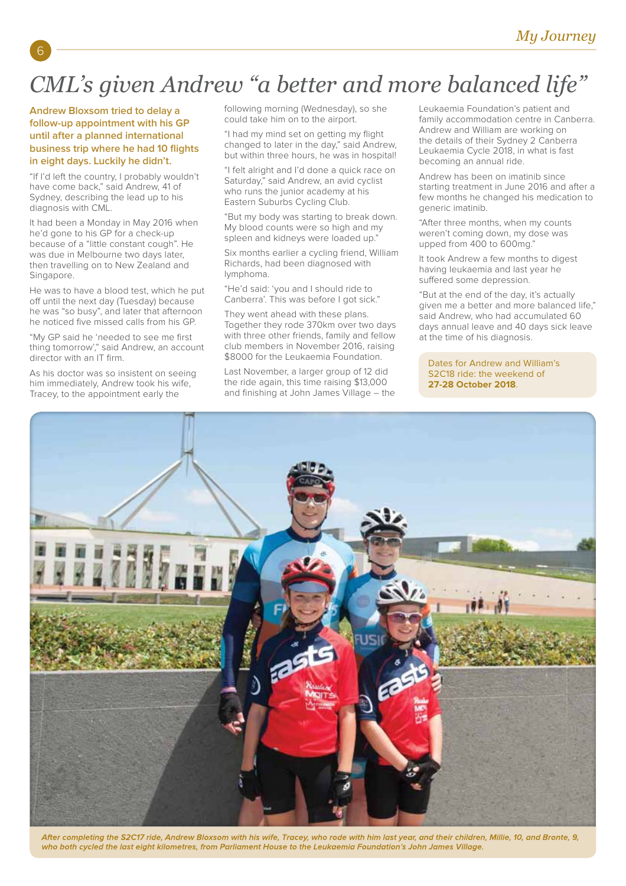# *CML's given Andrew "a better and more balanced life"*

## **Andrew Bloxsom tried to delay a follow-up appointment with his GP until after a planned international business trip where he had 10 flights in eight days. Luckily he didn't.**

6

"If I'd left the country, I probably wouldn't have come back," said Andrew, 41 of Sydney, describing the lead up to his diagnosis with CML.

It had been a Monday in May 2016 when he'd gone to his GP for a check-up because of a "little constant cough". He was due in Melbourne two days later, then travelling on to New Zealand and Singapore.

He was to have a blood test, which he put off until the next day (Tuesday) because he was "so busy", and later that afternoon he noticed five missed calls from his GP.

"My GP said he 'needed to see me first thing tomorrow'," said Andrew, an account director with an IT firm.

As his doctor was so insistent on seeing him immediately, Andrew took his wife, Tracey, to the appointment early the

following morning (Wednesday), so she could take him on to the airport.

"I had my mind set on getting my flight changed to later in the day," said Andrew, but within three hours, he was in hospital!

"I felt alright and I'd done a quick race on Saturday<sup>"</sup> said Andrew, an avid cyclist who runs the junior academy at his Eastern Suburbs Cycling Club.

"But my body was starting to break down. My blood counts were so high and my spleen and kidneys were loaded up."

Six months earlier a cycling friend, William Richards, had been diagnosed with lymphoma.

"He'd said: 'you and I should ride to Canberra'. This was before I got sick."

They went ahead with these plans. Together they rode 370km over two days with three other friends, family and fellow club members in November 2016, raising \$8000 for the Leukaemia Foundation.

Last November, a larger group of 12 did the ride again, this time raising \$13,000 and finishing at John James Village – the Leukaemia Foundation's patient and family accommodation centre in Canberra. Andrew and William are working on the details of their Sydney 2 Canberra Leukaemia Cycle 2018, in what is fast becoming an annual ride.

Andrew has been on imatinib since starting treatment in June 2016 and after a few months he changed his medication to generic imatinib.

"After three months, when my counts weren't coming down, my dose was upped from 400 to 600mg."

It took Andrew a few months to digest having leukaemia and last year he suffered some depression.

"But at the end of the day, it's actually given me a better and more balanced life," said Andrew, who had accumulated 60 days annual leave and 40 days sick leave at the time of his diagnosis.

Dates for Andrew and William's S2C18 ride: the weekend of **27-28 October 2018**.



After completing the S2C17 ride, Andrew Bloxsom with his wife, Tracey, who rode with him last year, and their children, Millie, 10, and Bronte, 9, who both cycled the last eight kilometres, from Parliament House to the Leukaemia Foundation's John James Village.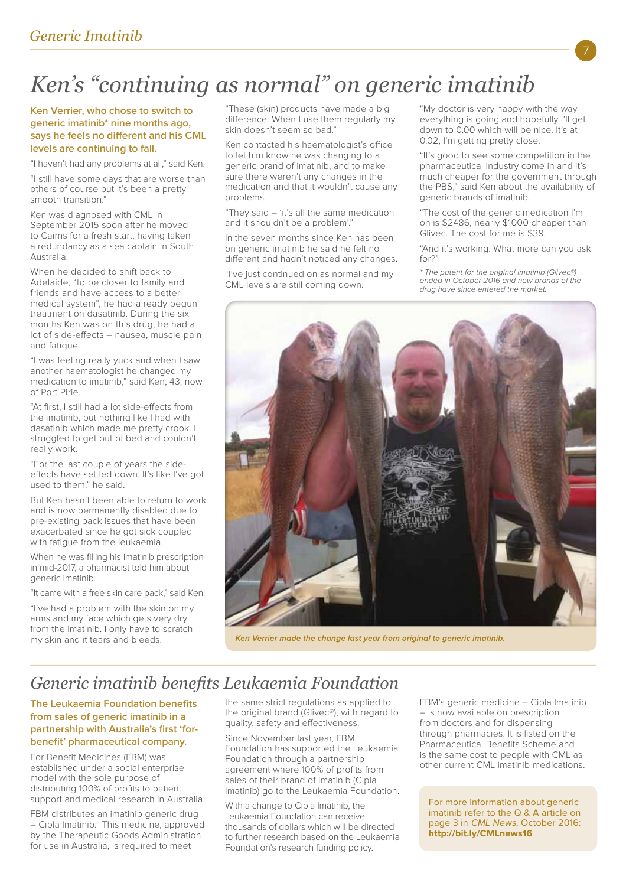# *Ken's "continuing as normal" on generic imatinib*

### **Ken Verrier, who chose to switch to generic imatinib\* nine months ago, says he feels no diferent and his CML levels are continuing to fall.**

"I haven't had any problems at all," said Ken.

"I still have some days that are worse than others of course but it's been a pretty smooth transition."

Ken was diagnosed with CML in September 2015 soon after he moved to Cairns for a fresh start, having taken a redundancy as a sea captain in South Australia.

When he decided to shift back to Adelaide, "to be closer to family and friends and have access to a better medical system", he had already begun treatment on dasatinib. During the six months Ken was on this drug, he had a lot of side-efects – nausea, muscle pain and fatigue.

"I was feeling really yuck and when I saw another haematologist he changed my medication to imatinib," said Ken, 43, now of Port Pirie.

"At first, I still had a lot side-efects from the imatinib, but nothing like I had with dasatinib which made me pretty crook. I struggled to get out of bed and couldn't really work.

"For the last couple of years the sideefects have settled down. It's like I've got used to them," he said.

But Ken hasn't been able to return to work and is now permanently disabled due to pre-existing back issues that have been exacerbated since he got sick coupled with fatigue from the leukaemia.

When he was filling his imatinib prescription in mid-2017, a pharmacist told him about generic imatinib.

"It came with a free skin care pack," said Ken.

"I've had a problem with the skin on my arms and my face which gets very dry from the imatinib. I only have to scratch my skin and it tears and bleeds.

"These (skin) products have made a big diference. When I use them regularly my skin doesn't seem so bad."

Ken contacted his haematologist's office to let him know he was changing to a generic brand of imatinib, and to make sure there weren't any changes in the medication and that it wouldn't cause any problems.

"They said – 'it's all the same medication and it shouldn't be a problem'."

In the seven months since Ken has been on generic imatinib he said he felt no diferent and hadn't noticed any changes.

"I've just continued on as normal and my CML levels are still coming down.

"My doctor is very happy with the way everything is going and hopefully I'll get down to 0.00 which will be nice. It's at 0.02, I'm getting pretty close.

"It's good to see some competition in the pharmaceutical industry come in and it's much cheaper for the government through the PBS," said Ken about the availability of generic brands of imatinib.

"The cost of the generic medication I'm on is \$2486, nearly \$1000 cheaper than Glivec. The cost for me is \$39.

"And it's working. What more can you ask for?"

\* The patent for the original imatinib (Glivec®) ended in October 2016 and new brands of the drug have since entered the market.



Ken Verrier made the change last year from original to generic imatinib.

# *Generic imatinib benefts Leukaemia Foundation*

## **The Leukaemia Foundation benefits from sales of generic imatinib in a partnership with Australia's first 'forbenefit' pharmaceutical company.**

For Benefit Medicines (FBM) was established under a social enterprise model with the sole purpose of distributing 100% of profits to patient support and medical research in Australia.

FBM distributes an imatinib generic drug – Cipla Imatinib. This medicine, approved by the Therapeutic Goods Administration for use in Australia, is required to meet

the same strict regulations as applied to the original brand (Glivec®), with regard to quality, safety and efectiveness.

Since November last year, FBM Foundation has supported the Leukaemia Foundation through a partnership agreement where 100% of profits from sales of their brand of imatinib (Cipla Imatinib) go to the Leukaemia Foundation.

With a change to Cipla Imatinib, the Leukaemia Foundation can receive thousands of dollars which will be directed to further research based on the Leukaemia Foundation's research funding policy.

FBM's generic medicine – Cipla Imatinib – is now available on prescription from doctors and for dispensing through pharmacies. It is listed on the Pharmaceutical Benefits Scheme and is the same cost to people with CML as other current CML imatinib medications.

For more information about generic imatinib refer to the Q & A article on page 3 in CML News, October 2016: **http://bit.ly/CMLnews16**